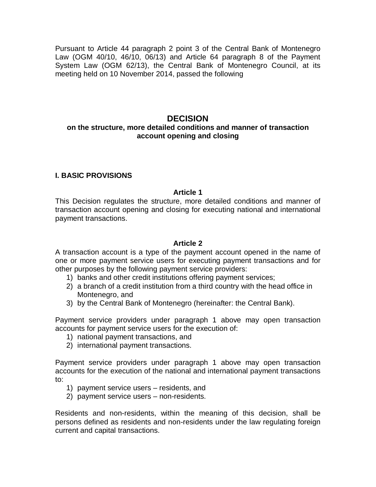Pursuant to Article 44 paragraph 2 point 3 of the Central Bank of Montenegro Law (OGM 40/10, 46/10, 06/13) and Article 64 paragraph 8 of the Payment System Law (OGM 62/13), the Central Bank of Montenegro Council, at its meeting held on 10 November 2014, passed the following

# **DECISION**

## **on the structure, more detailed conditions and manner of transaction account opening and closing**

## **I. BASIC PROVISIONS**

#### **Article 1**

This Decision regulates the structure, more detailed conditions and manner of transaction account opening and closing for executing national and international payment transactions.

#### **Article 2**

A transaction account is a type of the payment account opened in the name of one or more payment service users for executing payment transactions and for other purposes by the following payment service providers:

- 1) banks and other credit institutions offering payment services;
- 2) a branch of a credit institution from a third country with the head office in Montenegro, and
- 3) by the Central Bank of Montenegro (hereinafter: the Central Bank).

Payment service providers under paragraph 1 above may open transaction accounts for payment service users for the execution of:

- 1) national payment transactions, and
- 2) international payment transactions.

Payment service providers under paragraph 1 above may open transaction accounts for the execution of the national and international payment transactions to:

- 1) payment service users residents, and
- 2) payment service users non-residents.

Residents and non-residents, within the meaning of this decision, shall be persons defined as residents and non-residents under the law regulating foreign current and capital transactions.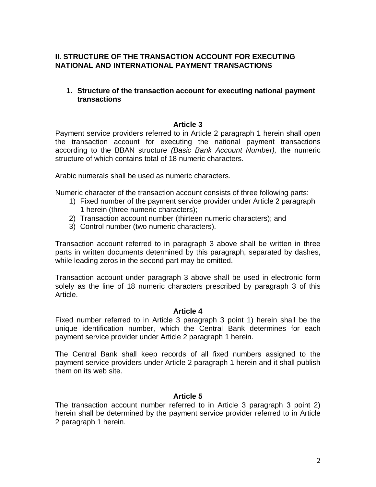# **II. STRUCTURE OF THE TRANSACTION ACCOUNT FOR EXECUTING NATIONAL AND INTERNATIONAL PAYMENT TRANSACTIONS**

# **1. Structure of the transaction account for executing national payment transactions**

# **Article 3**

Payment service providers referred to in Article 2 paragraph 1 herein shall open the transaction account for executing the national payment transactions according to the BBAN structure *(Basic Bank Account Number),* the numeric structure of which contains total of 18 numeric characters.

Arabic numerals shall be used as numeric characters.

Numeric character of the transaction account consists of three following parts:

- 1) Fixed number of the payment service provider under Article 2 paragraph 1 herein (three numeric characters);
- 2) Transaction account number (thirteen numeric characters); and
- 3) Control number (two numeric characters).

Transaction account referred to in paragraph 3 above shall be written in three parts in written documents determined by this paragraph, separated by dashes, while leading zeros in the second part may be omitted.

Transaction account under paragraph 3 above shall be used in electronic form solely as the line of 18 numeric characters prescribed by paragraph 3 of this Article.

#### **Article 4**

Fixed number referred to in Article 3 paragraph 3 point 1) herein shall be the unique identification number, which the Central Bank determines for each payment service provider under Article 2 paragraph 1 herein.

The Central Bank shall keep records of all fixed numbers assigned to the payment service providers under Article 2 paragraph 1 herein and it shall publish them on its web site.

## **Article 5**

The transaction account number referred to in Article 3 paragraph 3 point 2) herein shall be determined by the payment service provider referred to in Article 2 paragraph 1 herein.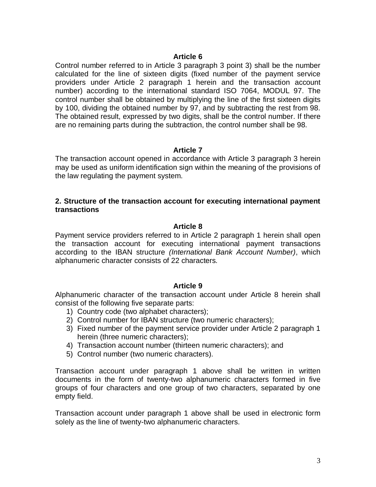Control number referred to in Article 3 paragraph 3 point 3) shall be the number calculated for the line of sixteen digits (fixed number of the payment service providers under Article 2 paragraph 1 herein and the transaction account number) according to the international standard ISO 7064, MODUL 97. The control number shall be obtained by multiplying the line of the first sixteen digits by 100, dividing the obtained number by 97, and by subtracting the rest from 98. The obtained result, expressed by two digits, shall be the control number. If there are no remaining parts during the subtraction, the control number shall be 98.

#### **Article 7**

The transaction account opened in accordance with Article 3 paragraph 3 herein may be used as uniform identification sign within the meaning of the provisions of the law regulating the payment system.

#### **2. Structure of the transaction account for executing international payment transactions**

#### **Article 8**

Payment service providers referred to in Article 2 paragraph 1 herein shall open the transaction account for executing international payment transactions according to the IBAN structure *(International Bank Account Number)*, which alphanumeric character consists of 22 characters*.*

#### **Article 9**

Alphanumeric character of the transaction account under Article 8 herein shall consist of the following five separate parts:

- 1) Country code (two alphabet characters);
- 2) Control number for IBAN structure (two numeric characters);
- 3) Fixed number of the payment service provider under Article 2 paragraph 1 herein (three numeric characters);
- 4) Transaction account number (thirteen numeric characters); and
- 5) Control number (two numeric characters).

Transaction account under paragraph 1 above shall be written in written documents in the form of twenty-two alphanumeric characters formed in five groups of four characters and one group of two characters, separated by one empty field.

Transaction account under paragraph 1 above shall be used in electronic form solely as the line of twenty-two alphanumeric characters.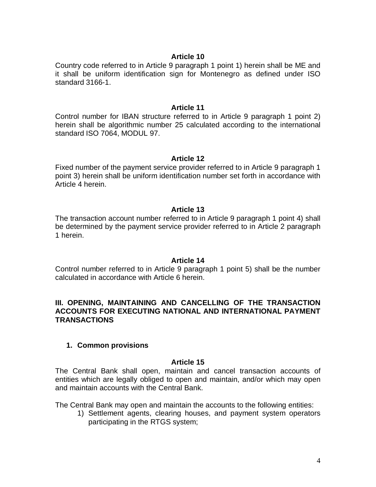Country code referred to in Article 9 paragraph 1 point 1) herein shall be ME and it shall be uniform identification sign for Montenegro as defined under ISO standard 3166-1.

#### **Article 11**

Control number for IBAN structure referred to in Article 9 paragraph 1 point 2) herein shall be algorithmic number 25 calculated according to the international standard ISO 7064, MODUL 97.

#### **Article 12**

Fixed number of the payment service provider referred to in Article 9 paragraph 1 point 3) herein shall be uniform identification number set forth in accordance with Article 4 herein.

#### **Article 13**

The transaction account number referred to in Article 9 paragraph 1 point 4) shall be determined by the payment service provider referred to in Article 2 paragraph 1 herein.

#### **Article 14**

Control number referred to in Article 9 paragraph 1 point 5) shall be the number calculated in accordance with Article 6 herein.

### **III. OPENING, MAINTAINING AND CANCELLING OF THE TRANSACTION ACCOUNTS FOR EXECUTING NATIONAL AND INTERNATIONAL PAYMENT TRANSACTIONS**

#### **1. Common provisions**

#### **Article 15**

The Central Bank shall open, maintain and cancel transaction accounts of entities which are legally obliged to open and maintain, and/or which may open and maintain accounts with the Central Bank.

The Central Bank may open and maintain the accounts to the following entities:

1) Settlement agents, clearing houses, and payment system operators participating in the RTGS system;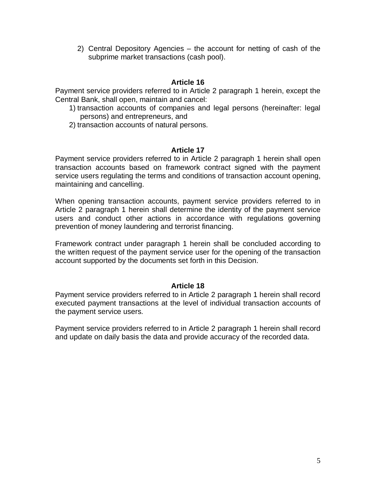2) Central Depository Agencies – the account for netting of cash of the subprime market transactions (cash pool).

# **Article 16**

Payment service providers referred to in Article 2 paragraph 1 herein, except the Central Bank, shall open, maintain and cancel:

- 1) transaction accounts of companies and legal persons (hereinafter: legal persons) and entrepreneurs, and
- 2) transaction accounts of natural persons.

#### **Article 17**

Payment service providers referred to in Article 2 paragraph 1 herein shall open transaction accounts based on framework contract signed with the payment service users regulating the terms and conditions of transaction account opening, maintaining and cancelling.

When opening transaction accounts, payment service providers referred to in Article 2 paragraph 1 herein shall determine the identity of the payment service users and conduct other actions in accordance with regulations governing prevention of money laundering and terrorist financing.

Framework contract under paragraph 1 herein shall be concluded according to the written request of the payment service user for the opening of the transaction account supported by the documents set forth in this Decision.

## **Article 18**

Payment service providers referred to in Article 2 paragraph 1 herein shall record executed payment transactions at the level of individual transaction accounts of the payment service users.

Payment service providers referred to in Article 2 paragraph 1 herein shall record and update on daily basis the data and provide accuracy of the recorded data.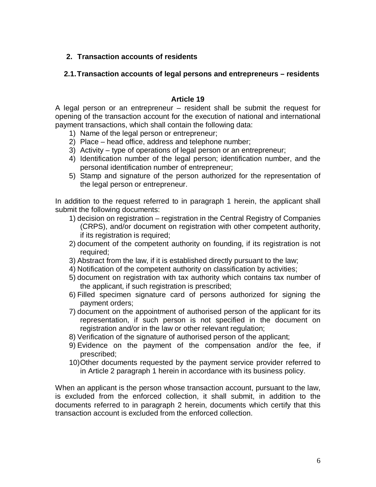# **2. Transaction accounts of residents**

# **2.1.Transaction accounts of legal persons and entrepreneurs – residents**

### **Article 19**

A legal person or an entrepreneur – resident shall be submit the request for opening of the transaction account for the execution of national and international payment transactions, which shall contain the following data:

- 1) Name of the legal person or entrepreneur;
- 2) Place head office, address and telephone number;
- 3) Activity type of operations of legal person or an entrepreneur;
- 4) Identification number of the legal person; identification number, and the personal identification number of entrepreneur;
- 5) Stamp and signature of the person authorized for the representation of the legal person or entrepreneur.

In addition to the request referred to in paragraph 1 herein, the applicant shall submit the following documents:

- 1) decision on registration registration in the Central Registry of Companies (CRPS), and/or document on registration with other competent authority, if its registration is required;
- 2) document of the competent authority on founding, if its registration is not required;
- 3) Abstract from the law, if it is established directly pursuant to the law;
- 4) Notification of the competent authority on classification by activities;
- 5) document on registration with tax authority which contains tax number of the applicant, if such registration is prescribed;
- 6) Filled specimen signature card of persons authorized for signing the payment orders;
- 7) document on the appointment of authorised person of the applicant for its representation, if such person is not specified in the document on registration and/or in the law or other relevant regulation;
- 8) Verification of the signature of authorised person of the applicant;
- 9) Evidence on the payment of the compensation and/or the fee, if prescribed;
- 10)Other documents requested by the payment service provider referred to in Article 2 paragraph 1 herein in accordance with its business policy.

When an applicant is the person whose transaction account, pursuant to the law, is excluded from the enforced collection, it shall submit, in addition to the documents referred to in paragraph 2 herein, documents which certify that this transaction account is excluded from the enforced collection.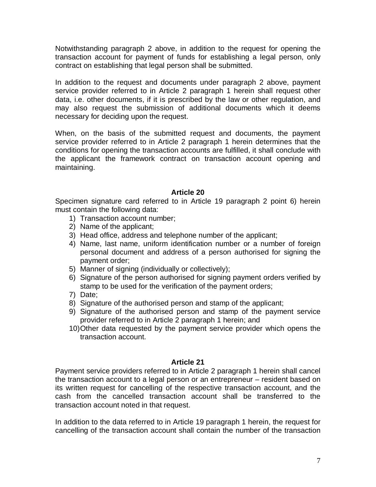Notwithstanding paragraph 2 above, in addition to the request for opening the transaction account for payment of funds for establishing a legal person, only contract on establishing that legal person shall be submitted.

In addition to the request and documents under paragraph 2 above, payment service provider referred to in Article 2 paragraph 1 herein shall request other data, i.e. other documents, if it is prescribed by the law or other regulation, and may also request the submission of additional documents which it deems necessary for deciding upon the request.

When, on the basis of the submitted request and documents, the payment service provider referred to in Article 2 paragraph 1 herein determines that the conditions for opening the transaction accounts are fulfilled, it shall conclude with the applicant the framework contract on transaction account opening and maintaining.

# **Article 20**

Specimen signature card referred to in Article 19 paragraph 2 point 6) herein must contain the following data:

- 1) Transaction account number;
- 2) Name of the applicant;
- 3) Head office, address and telephone number of the applicant;
- 4) Name, last name, uniform identification number or a number of foreign personal document and address of a person authorised for signing the payment order;
- 5) Manner of signing (individually or collectively);
- 6) Signature of the person authorised for signing payment orders verified by stamp to be used for the verification of the payment orders;
- 7) Date;
- 8) Signature of the authorised person and stamp of the applicant;
- 9) Signature of the authorised person and stamp of the payment service provider referred to in Article 2 paragraph 1 herein; and
- 10)Other data requested by the payment service provider which opens the transaction account.

#### **Article 21**

Payment service providers referred to in Article 2 paragraph 1 herein shall cancel the transaction account to a legal person or an entrepreneur – resident based on its written request for cancelling of the respective transaction account, and the cash from the cancelled transaction account shall be transferred to the transaction account noted in that request.

In addition to the data referred to in Article 19 paragraph 1 herein, the request for cancelling of the transaction account shall contain the number of the transaction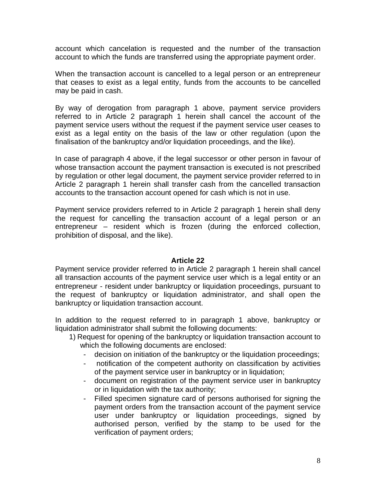account which cancelation is requested and the number of the transaction account to which the funds are transferred using the appropriate payment order.

When the transaction account is cancelled to a legal person or an entrepreneur that ceases to exist as a legal entity, funds from the accounts to be cancelled may be paid in cash.

By way of derogation from paragraph 1 above, payment service providers referred to in Article 2 paragraph 1 herein shall cancel the account of the payment service users without the request if the payment service user ceases to exist as a legal entity on the basis of the law or other regulation (upon the finalisation of the bankruptcy and/or liquidation proceedings, and the like).

In case of paragraph 4 above, if the legal successor or other person in favour of whose transaction account the payment transaction is executed is not prescribed by regulation or other legal document, the payment service provider referred to in Article 2 paragraph 1 herein shall transfer cash from the cancelled transaction accounts to the transaction account opened for cash which is not in use.

Payment service providers referred to in Article 2 paragraph 1 herein shall deny the request for cancelling the transaction account of a legal person or an entrepreneur – resident which is frozen (during the enforced collection, prohibition of disposal, and the like).

#### **Article 22**

Payment service provider referred to in Article 2 paragraph 1 herein shall cancel all transaction accounts of the payment service user which is a legal entity or an entrepreneur - resident under bankruptcy or liquidation proceedings, pursuant to the request of bankruptcy or liquidation administrator, and shall open the bankruptcy or liquidation transaction account.

In addition to the request referred to in paragraph 1 above, bankruptcy or liquidation administrator shall submit the following documents:

- 1) Request for opening of the bankruptcy or liquidation transaction account to which the following documents are enclosed:
	- decision on initiation of the bankruptcy or the liquidation proceedings;
	- notification of the competent authority on classification by activities of the payment service user in bankruptcy or in liquidation;
	- document on registration of the payment service user in bankruptcy or in liquidation with the tax authority;
	- Filled specimen signature card of persons authorised for signing the payment orders from the transaction account of the payment service user under bankruptcy or liquidation proceedings, signed by authorised person, verified by the stamp to be used for the verification of payment orders;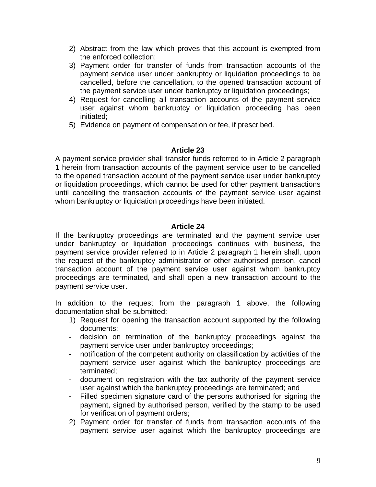- 2) Abstract from the law which proves that this account is exempted from the enforced collection;
- 3) Payment order for transfer of funds from transaction accounts of the payment service user under bankruptcy or liquidation proceedings to be cancelled, before the cancellation, to the opened transaction account of the payment service user under bankruptcy or liquidation proceedings;
- 4) Request for cancelling all transaction accounts of the payment service user against whom bankruptcy or liquidation proceeding has been initiated;
- 5) Evidence on payment of compensation or fee, if prescribed.

A payment service provider shall transfer funds referred to in Article 2 paragraph 1 herein from transaction accounts of the payment service user to be cancelled to the opened transaction account of the payment service user under bankruptcy or liquidation proceedings, which cannot be used for other payment transactions until cancelling the transaction accounts of the payment service user against whom bankruptcy or liquidation proceedings have been initiated.

## **Article 24**

If the bankruptcy proceedings are terminated and the payment service user under bankruptcy or liquidation proceedings continues with business, the payment service provider referred to in Article 2 paragraph 1 herein shall, upon the request of the bankruptcy administrator or other authorised person, cancel transaction account of the payment service user against whom bankruptcy proceedings are terminated, and shall open a new transaction account to the payment service user.

In addition to the request from the paragraph 1 above, the following documentation shall be submitted:

- 1) Request for opening the transaction account supported by the following documents:
- decision on termination of the bankruptcy proceedings against the payment service user under bankruptcy proceedings;
- notification of the competent authority on classification by activities of the payment service user against which the bankruptcy proceedings are terminated;
- document on registration with the tax authority of the payment service user against which the bankruptcy proceedings are terminated; and
- Filled specimen signature card of the persons authorised for signing the payment, signed by authorised person, verified by the stamp to be used for verification of payment orders;
- 2) Payment order for transfer of funds from transaction accounts of the payment service user against which the bankruptcy proceedings are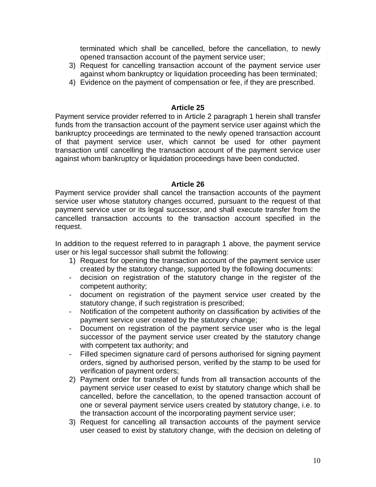terminated which shall be cancelled, before the cancellation, to newly opened transaction account of the payment service user;

- 3) Request for cancelling transaction account of the payment service user against whom bankruptcy or liquidation proceeding has been terminated;
- 4) Evidence on the payment of compensation or fee, if they are prescribed.

## **Article 25**

Payment service provider referred to in Article 2 paragraph 1 herein shall transfer funds from the transaction account of the payment service user against which the bankruptcy proceedings are terminated to the newly opened transaction account of that payment service user, which cannot be used for other payment transaction until cancelling the transaction account of the payment service user against whom bankruptcy or liquidation proceedings have been conducted.

#### **Article 26**

Payment service provider shall cancel the transaction accounts of the payment service user whose statutory changes occurred, pursuant to the request of that payment service user or its legal successor, and shall execute transfer from the cancelled transaction accounts to the transaction account specified in the request.

In addition to the request referred to in paragraph 1 above, the payment service user or his legal successor shall submit the following:

- 1) Request for opening the transaction account of the payment service user created by the statutory change, supported by the following documents:
- decision on registration of the statutory change in the register of the competent authority;
- document on registration of the payment service user created by the statutory change, if such registration is prescribed;
- Notification of the competent authority on classification by activities of the payment service user created by the statutory change;
- Document on registration of the payment service user who is the legal successor of the payment service user created by the statutory change with competent tax authority; and
- Filled specimen signature card of persons authorised for signing payment orders, signed by authorised person, verified by the stamp to be used for verification of payment orders;
- 2) Payment order for transfer of funds from all transaction accounts of the payment service user ceased to exist by statutory change which shall be cancelled, before the cancellation, to the opened transaction account of one or several payment service users created by statutory change, i.e. to the transaction account of the incorporating payment service user;
- 3) Request for cancelling all transaction accounts of the payment service user ceased to exist by statutory change, with the decision on deleting of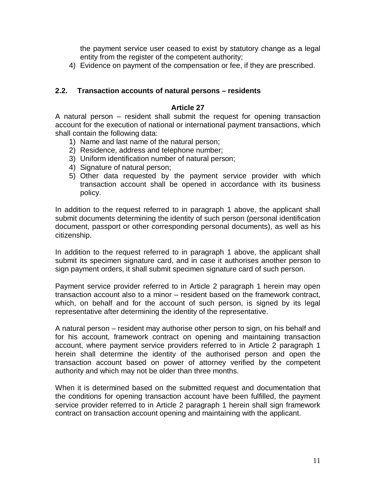the payment service user ceased to exist by statutory change as a legal entity from the register of the competent authority;

4) Evidence on payment of the compensation or fee, if they are prescribed.

### **2.2. Transaction accounts of natural persons – residents**

#### **Article 27**

A natural person – resident shall submit the request for opening transaction account for the execution of national or international payment transactions, which shall contain the following data:

- 1) Name and last name of the natural person;
- 2) Residence, address and telephone number;
- 3) Uniform identification number of natural person;
- 4) Signature of natural person;
- 5) Other data requested by the payment service provider with which transaction account shall be opened in accordance with its business policy.

In addition to the request referred to in paragraph 1 above, the applicant shall submit documents determining the identity of such person (personal identification document, passport or other corresponding personal documents), as well as his citizenship.

In addition to the request referred to in paragraph 1 above, the applicant shall submit its specimen signature card, and in case it authorises another person to sign payment orders, it shall submit specimen signature card of such person.

Payment service provider referred to in Article 2 paragraph 1 herein may open transaction account also to a minor – resident based on the framework contract, which, on behalf and for the account of such person, is signed by its legal representative after determining the identity of the representative.

A natural person – resident may authorise other person to sign, on his behalf and for his account, framework contract on opening and maintaining transaction account, where payment service providers referred to in Article 2 paragraph 1 herein shall determine the identity of the authorised person and open the transaction account based on power of attorney verified by the competent authority and which may not be older than three months.

When it is determined based on the submitted request and documentation that the conditions for opening transaction account have been fulfilled, the payment service provider referred to in Article 2 paragraph 1 herein shall sign framework contract on transaction account opening and maintaining with the applicant.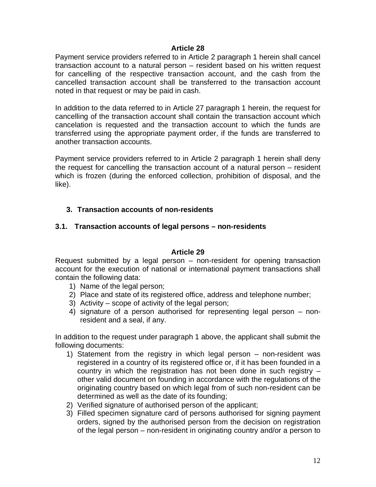Payment service providers referred to in Article 2 paragraph 1 herein shall cancel transaction account to a natural person – resident based on his written request for cancelling of the respective transaction account, and the cash from the cancelled transaction account shall be transferred to the transaction account noted in that request or may be paid in cash.

In addition to the data referred to in Article 27 paragraph 1 herein, the request for cancelling of the transaction account shall contain the transaction account which cancelation is requested and the transaction account to which the funds are transferred using the appropriate payment order, if the funds are transferred to another transaction accounts.

Payment service providers referred to in Article 2 paragraph 1 herein shall deny the request for cancelling the transaction account of a natural person – resident which is frozen (during the enforced collection, prohibition of disposal, and the like).

# **3. Transaction accounts of non-residents**

# **3.1. Transaction accounts of legal persons – non-residents**

## **Article 29**

Request submitted by a legal person – non-resident for opening transaction account for the execution of national or international payment transactions shall contain the following data:

- 1) Name of the legal person;
- 2) Place and state of its registered office, address and telephone number;
- 3) Activity scope of activity of the legal person;
- 4) signature of a person authorised for representing legal person nonresident and a seal, if any.

In addition to the request under paragraph 1 above, the applicant shall submit the following documents:

- 1) Statement from the registry in which legal person non-resident was registered in a country of its registered office or, if it has been founded in a country in which the registration has not been done in such registry – other valid document on founding in accordance with the regulations of the originating country based on which legal from of such non-resident can be determined as well as the date of its founding;
- 2) Verified signature of authorised person of the applicant;
- 3) Filled specimen signature card of persons authorised for signing payment orders, signed by the authorised person from the decision on registration of the legal person – non-resident in originating country and/or a person to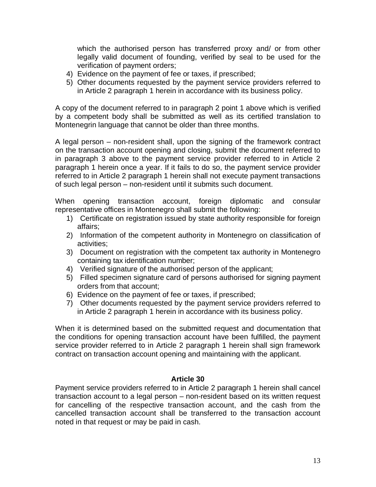which the authorised person has transferred proxy and/ or from other legally valid document of founding, verified by seal to be used for the verification of payment orders;

- 4) Evidence on the payment of fee or taxes, if prescribed;
- 5) Other documents requested by the payment service providers referred to in Article 2 paragraph 1 herein in accordance with its business policy.

A copy of the document referred to in paragraph 2 point 1 above which is verified by a competent body shall be submitted as well as its certified translation to Montenegrin language that cannot be older than three months.

A legal person – non-resident shall, upon the signing of the framework contract on the transaction account opening and closing, submit the document referred to in paragraph 3 above to the payment service provider referred to in Article 2 paragraph 1 herein once a year. If it fails to do so, the payment service provider referred to in Article 2 paragraph 1 herein shall not execute payment transactions of such legal person – non-resident until it submits such document.

When opening transaction account, foreign diplomatic and consular representative offices in Montenegro shall submit the following:

- 1) Certificate on registration issued by state authority responsible for foreign affairs;
- 2) Information of the competent authority in Montenegro on classification of activities;
- 3) Document on registration with the competent tax authority in Montenegro containing tax identification number;
- 4) Verified signature of the authorised person of the applicant;
- 5) Filled specimen signature card of persons authorised for signing payment orders from that account;
- 6) Evidence on the payment of fee or taxes, if prescribed;
- 7) Other documents requested by the payment service providers referred to in Article 2 paragraph 1 herein in accordance with its business policy.

When it is determined based on the submitted request and documentation that the conditions for opening transaction account have been fulfilled, the payment service provider referred to in Article 2 paragraph 1 herein shall sign framework contract on transaction account opening and maintaining with the applicant.

# **Article 30**

Payment service providers referred to in Article 2 paragraph 1 herein shall cancel transaction account to a legal person – non-resident based on its written request for cancelling of the respective transaction account, and the cash from the cancelled transaction account shall be transferred to the transaction account noted in that request or may be paid in cash.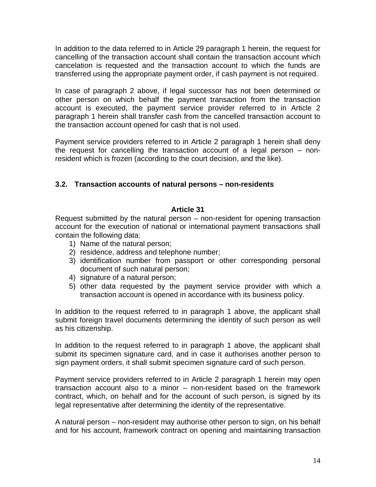In addition to the data referred to in Article 29 paragraph 1 herein, the request for cancelling of the transaction account shall contain the transaction account which cancelation is requested and the transaction account to which the funds are transferred using the appropriate payment order, if cash payment is not required.

In case of paragraph 2 above, if legal successor has not been determined or other person on which behalf the payment transaction from the transaction account is executed, the payment service provider referred to in Article 2 paragraph 1 herein shall transfer cash from the cancelled transaction account to the transaction account opened for cash that is not used.

Payment service providers referred to in Article 2 paragraph 1 herein shall deny the request for cancelling the transaction account of a legal person – nonresident which is frozen (according to the court decision, and the like).

# **3.2. Transaction accounts of natural persons – non-residents**

# **Article 31**

Request submitted by the natural person – non-resident for opening transaction account for the execution of national or international payment transactions shall contain the following data:

- 1) Name of the natural person;
- 2) residence, address and telephone number;
- 3) identification number from passport or other corresponding personal document of such natural person;
- 4) signature of a natural person;
- 5) other data requested by the payment service provider with which a transaction account is opened in accordance with its business policy.

In addition to the request referred to in paragraph 1 above, the applicant shall submit foreign travel documents determining the identity of such person as well as his citizenship.

In addition to the request referred to in paragraph 1 above, the applicant shall submit its specimen signature card, and in case it authorises another person to sign payment orders, it shall submit specimen signature card of such person.

Payment service providers referred to in Article 2 paragraph 1 herein may open transaction account also to a minor – non-resident based on the framework contract, which, on behalf and for the account of such person, is signed by its legal representative after determining the identity of the representative.

A natural person – non-resident may authorise other person to sign, on his behalf and for his account, framework contract on opening and maintaining transaction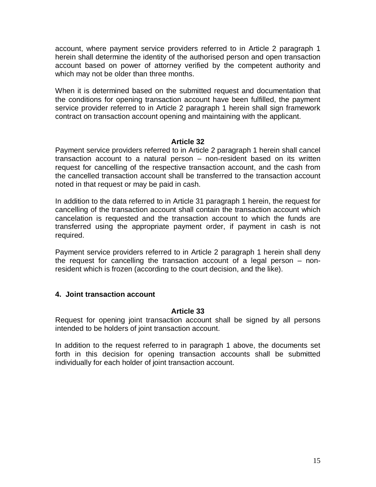account, where payment service providers referred to in Article 2 paragraph 1 herein shall determine the identity of the authorised person and open transaction account based on power of attorney verified by the competent authority and which may not be older than three months.

When it is determined based on the submitted request and documentation that the conditions for opening transaction account have been fulfilled, the payment service provider referred to in Article 2 paragraph 1 herein shall sign framework contract on transaction account opening and maintaining with the applicant.

# **Article 32**

Payment service providers referred to in Article 2 paragraph 1 herein shall cancel transaction account to a natural person – non-resident based on its written request for cancelling of the respective transaction account, and the cash from the cancelled transaction account shall be transferred to the transaction account noted in that request or may be paid in cash.

In addition to the data referred to in Article 31 paragraph 1 herein, the request for cancelling of the transaction account shall contain the transaction account which cancelation is requested and the transaction account to which the funds are transferred using the appropriate payment order, if payment in cash is not required.

Payment service providers referred to in Article 2 paragraph 1 herein shall deny the request for cancelling the transaction account of a legal person – nonresident which is frozen (according to the court decision, and the like).

## **4. Joint transaction account**

#### **Article 33**

Request for opening joint transaction account shall be signed by all persons intended to be holders of joint transaction account.

In addition to the request referred to in paragraph 1 above, the documents set forth in this decision for opening transaction accounts shall be submitted individually for each holder of joint transaction account.